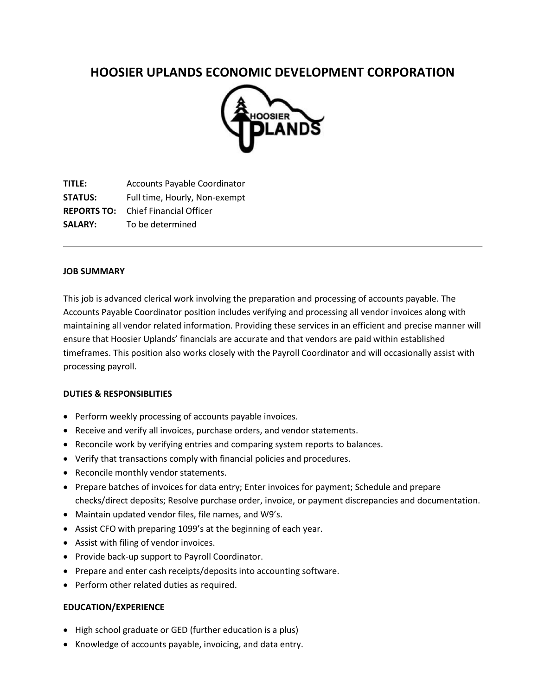# **HOOSIER UPLANDS ECONOMIC DEVELOPMENT CORPORATION**



**TITLE:** Accounts Payable Coordinator **STATUS:** Full time, Hourly, Non-exempt **REPORTS TO:** Chief Financial Officer **SALARY:** To be determined

#### **JOB SUMMARY**

This job is advanced clerical work involving the preparation and processing of accounts payable. The Accounts Payable Coordinator position includes verifying and processing all vendor invoices along with maintaining all vendor related information. Providing these services in an efficient and precise manner will ensure that Hoosier Uplands' financials are accurate and that vendors are paid within established timeframes. This position also works closely with the Payroll Coordinator and will occasionally assist with processing payroll.

## **DUTIES & RESPONSIBLITIES**

- Perform weekly processing of accounts payable invoices.
- Receive and verify all invoices, purchase orders, and vendor statements.
- Reconcile work by verifying entries and comparing system reports to balances.
- Verify that transactions comply with financial policies and procedures.
- Reconcile monthly vendor statements.
- Prepare batches of invoices for data entry; Enter invoices for payment; Schedule and prepare checks/direct deposits; Resolve purchase order, invoice, or payment discrepancies and documentation.
- Maintain updated vendor files, file names, and W9's.
- Assist CFO with preparing 1099's at the beginning of each year.
- Assist with filing of vendor invoices.
- Provide back-up support to Payroll Coordinator.
- Prepare and enter cash receipts/deposits into accounting software.
- Perform other related duties as required.

## **EDUCATION/EXPERIENCE**

- High school graduate or GED (further education is a plus)
- Knowledge of accounts payable, invoicing, and data entry.